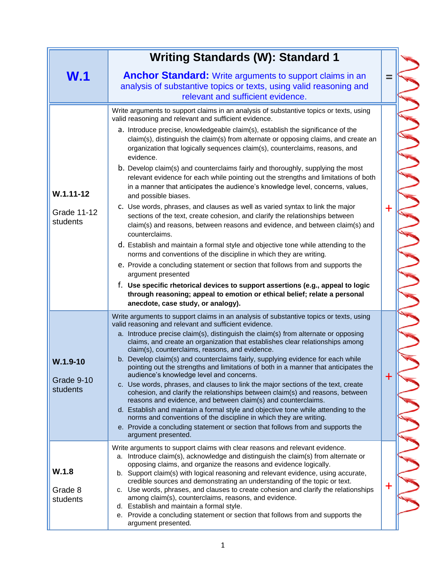|                                                 | <b>Writing Standards (W): Standard 1</b>                                                                                                                                                                                                                                                                                                                                                                                                                                                                                                                                                                                                                                                                                                                                                                                                                                                                                                                                                                                                                                                                                                                                                                                                                                                                                                                                                                                                                |          |
|-------------------------------------------------|---------------------------------------------------------------------------------------------------------------------------------------------------------------------------------------------------------------------------------------------------------------------------------------------------------------------------------------------------------------------------------------------------------------------------------------------------------------------------------------------------------------------------------------------------------------------------------------------------------------------------------------------------------------------------------------------------------------------------------------------------------------------------------------------------------------------------------------------------------------------------------------------------------------------------------------------------------------------------------------------------------------------------------------------------------------------------------------------------------------------------------------------------------------------------------------------------------------------------------------------------------------------------------------------------------------------------------------------------------------------------------------------------------------------------------------------------------|----------|
| W.1                                             | <b>Anchor Standard:</b> Write arguments to support claims in an<br>analysis of substantive topics or texts, using valid reasoning and<br>relevant and sufficient evidence.                                                                                                                                                                                                                                                                                                                                                                                                                                                                                                                                                                                                                                                                                                                                                                                                                                                                                                                                                                                                                                                                                                                                                                                                                                                                              | ═        |
| $W.1.11 - 12$<br><b>Grade 11-12</b><br>students | Write arguments to support claims in an analysis of substantive topics or texts, using<br>valid reasoning and relevant and sufficient evidence.<br>a. Introduce precise, knowledgeable claim(s), establish the significance of the<br>claim(s), distinguish the claim(s) from alternate or opposing claims, and create an<br>organization that logically sequences claim(s), counterclaims, reasons, and<br>evidence.<br>b. Develop claim(s) and counterclaims fairly and thoroughly, supplying the most<br>relevant evidence for each while pointing out the strengths and limitations of both<br>in a manner that anticipates the audience's knowledge level, concerns, values,<br>and possible biases.<br>c. Use words, phrases, and clauses as well as varied syntax to link the major<br>sections of the text, create cohesion, and clarify the relationships between<br>claim(s) and reasons, between reasons and evidence, and between claim(s) and<br>counterclaims.<br>d. Establish and maintain a formal style and objective tone while attending to the<br>norms and conventions of the discipline in which they are writing.<br>e. Provide a concluding statement or section that follows from and supports the<br>argument presented<br>f. Use specific rhetorical devices to support assertions (e.g., appeal to logic<br>through reasoning; appeal to emotion or ethical belief; relate a personal<br>anecdote, case study, or analogy). | ╋        |
| $W.1.9-10$<br>Grade 9-10<br>students            | Write arguments to support claims in an analysis of substantive topics or texts, using<br>valid reasoning and relevant and sufficient evidence.<br>a. Introduce precise claim(s), distinguish the claim(s) from alternate or opposing<br>claims, and create an organization that establishes clear relationships among<br>claim(s), counterclaims, reasons, and evidence.<br>b. Develop claim(s) and counterclaims fairly, supplying evidence for each while<br>pointing out the strengths and limitations of both in a manner that anticipates the<br>audience's knowledge level and concerns.<br>c. Use words, phrases, and clauses to link the major sections of the text, create<br>cohesion, and clarify the relationships between claim(s) and reasons, between<br>reasons and evidence, and between claim(s) and counterclaims.<br>d. Establish and maintain a formal style and objective tone while attending to the<br>norms and conventions of the discipline in which they are writing.<br>e. Provide a concluding statement or section that follows from and supports the<br>argument presented.                                                                                                                                                                                                                                                                                                                                            | $\bm{+}$ |
| W.1.8<br>Grade 8<br>students                    | Write arguments to support claims with clear reasons and relevant evidence.<br>a. Introduce claim(s), acknowledge and distinguish the claim(s) from alternate or<br>opposing claims, and organize the reasons and evidence logically.<br>b. Support claim(s) with logical reasoning and relevant evidence, using accurate,<br>credible sources and demonstrating an understanding of the topic or text.<br>c. Use words, phrases, and clauses to create cohesion and clarify the relationships<br>among claim(s), counterclaims, reasons, and evidence.<br>d. Establish and maintain a formal style.<br>e. Provide a concluding statement or section that follows from and supports the<br>argument presented.                                                                                                                                                                                                                                                                                                                                                                                                                                                                                                                                                                                                                                                                                                                                          | ╋        |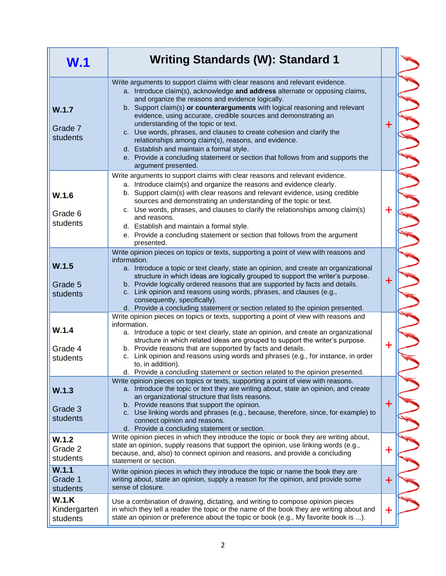| W.1                               | <b>Writing Standards (W): Standard 1</b>                                                                                                                                                                                                                                                                                                                                                                                                                                                                                                                                                                                                                                                         |             |
|-----------------------------------|--------------------------------------------------------------------------------------------------------------------------------------------------------------------------------------------------------------------------------------------------------------------------------------------------------------------------------------------------------------------------------------------------------------------------------------------------------------------------------------------------------------------------------------------------------------------------------------------------------------------------------------------------------------------------------------------------|-------------|
| W.1.7<br>Grade 7<br>students      | Write arguments to support claims with clear reasons and relevant evidence.<br>a. Introduce claim(s), acknowledge and address alternate or opposing claims,<br>and organize the reasons and evidence logically.<br>b. Support claim(s) or counterarguments with logical reasoning and relevant<br>evidence, using accurate, credible sources and demonstrating an<br>understanding of the topic or text.<br>c. Use words, phrases, and clauses to create cohesion and clarify the<br>relationships among claim(s), reasons, and evidence.<br>d. Establish and maintain a formal style.<br>e. Provide a concluding statement or section that follows from and supports the<br>argument presented. | $\ddag$     |
| W.1.6<br>Grade 6<br>students      | Write arguments to support claims with clear reasons and relevant evidence.<br>a. Introduce claim(s) and organize the reasons and evidence clearly.<br>b. Support claim(s) with clear reasons and relevant evidence, using credible<br>sources and demonstrating an understanding of the topic or text.<br>c. Use words, phrases, and clauses to clarify the relationships among claim(s)<br>and reasons.<br>d. Establish and maintain a formal style.<br>e. Provide a concluding statement or section that follows from the argument<br>presented.                                                                                                                                              | $\ddag$     |
| W.1.5<br>Grade 5<br>students      | Write opinion pieces on topics or texts, supporting a point of view with reasons and<br>information.<br>a. Introduce a topic or text clearly, state an opinion, and create an organizational<br>structure in which ideas are logically grouped to support the writer's purpose.<br>b. Provide logically ordered reasons that are supported by facts and details.<br>c. Link opinion and reasons using words, phrases, and clauses (e.g.,<br>consequently, specifically).<br>d. Provide a concluding statement or section related to the opinion presented.                                                                                                                                       | $\ddot{}$   |
| W.1.4<br>Grade 4<br>students      | Write opinion pieces on topics or texts, supporting a point of view with reasons and<br>information.<br>a. Introduce a topic or text clearly, state an opinion, and create an organizational<br>structure in which related ideas are grouped to support the writer's purpose.<br>b. Provide reasons that are supported by facts and details.<br>c. Link opinion and reasons using words and phrases (e.g., for instance, in order<br>to, in addition).<br>d. Provide a concluding statement or section related to the opinion presented.                                                                                                                                                         | $+$         |
| W.1.3<br>Grade 3<br>students      | Write opinion pieces on topics or texts, supporting a point of view with reasons.<br>a. Introduce the topic or text they are writing about, state an opinion, and create<br>an organizational structure that lists reasons.<br>b. Provide reasons that support the opinion.<br>c. Use linking words and phrases (e.g., because, therefore, since, for example) to<br>connect opinion and reasons.<br>d. Provide a concluding statement or section.                                                                                                                                                                                                                                               | $\mathbf +$ |
| W.1.2<br>Grade 2<br>students      | Write opinion pieces in which they introduce the topic or book they are writing about,<br>state an opinion, supply reasons that support the opinion, use linking words (e.g.,<br>because, and, also) to connect opinion and reasons, and provide a concluding<br>statement or section.                                                                                                                                                                                                                                                                                                                                                                                                           | $\ddag$     |
| W.1.1<br>Grade 1<br>students      | Write opinion pieces in which they introduce the topic or name the book they are<br>writing about, state an opinion, supply a reason for the opinion, and provide some<br>sense of closure.                                                                                                                                                                                                                                                                                                                                                                                                                                                                                                      | $\ddagger$  |
| W.1.K<br>Kindergarten<br>students | Use a combination of drawing, dictating, and writing to compose opinion pieces<br>in which they tell a reader the topic or the name of the book they are writing about and<br>state an opinion or preference about the topic or book (e.g., My favorite book is ).                                                                                                                                                                                                                                                                                                                                                                                                                               | $\mathbf +$ |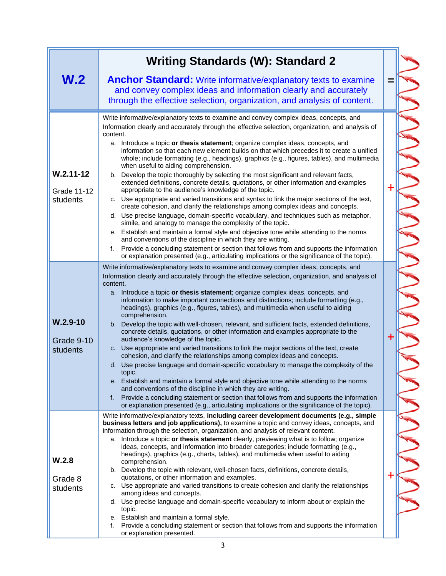|                                                 | <b>Writing Standards (W): Standard 2</b>                                                                                                                                                                                                                                                                                                                                                                                                                                                                                                                                                                                                                                                                                                                                                                                                                                                                                                                                                                                                                                                                                                                                                                                                                                                                                                                                                                                                                                            |             |
|-------------------------------------------------|-------------------------------------------------------------------------------------------------------------------------------------------------------------------------------------------------------------------------------------------------------------------------------------------------------------------------------------------------------------------------------------------------------------------------------------------------------------------------------------------------------------------------------------------------------------------------------------------------------------------------------------------------------------------------------------------------------------------------------------------------------------------------------------------------------------------------------------------------------------------------------------------------------------------------------------------------------------------------------------------------------------------------------------------------------------------------------------------------------------------------------------------------------------------------------------------------------------------------------------------------------------------------------------------------------------------------------------------------------------------------------------------------------------------------------------------------------------------------------------|-------------|
| W.2                                             | <b>Anchor Standard:</b> Write informative/explanatory texts to examine<br>and convey complex ideas and information clearly and accurately<br>through the effective selection, organization, and analysis of content.                                                                                                                                                                                                                                                                                                                                                                                                                                                                                                                                                                                                                                                                                                                                                                                                                                                                                                                                                                                                                                                                                                                                                                                                                                                                |             |
| $W.2.11 - 12$<br><b>Grade 11-12</b><br>students | Write informative/explanatory texts to examine and convey complex ideas, concepts, and<br>Information clearly and accurately through the effective selection, organization, and analysis of<br>content.<br>a. Introduce a topic or thesis statement; organize complex ideas, concepts, and<br>information so that each new element builds on that which precedes it to create a unified<br>whole; include formatting (e.g., headings), graphics (e.g., figures, tables), and multimedia<br>when useful to aiding comprehension.<br>b. Develop the topic thoroughly by selecting the most significant and relevant facts,<br>extended definitions, concrete details, quotations, or other information and examples<br>appropriate to the audience's knowledge of the topic.<br>c. Use appropriate and varied transitions and syntax to link the major sections of the text,<br>create cohesion, and clarify the relationships among complex ideas and concepts.<br>d. Use precise language, domain-specific vocabulary, and techniques such as metaphor,<br>simile, and analogy to manage the complexity of the topic.<br>e. Establish and maintain a formal style and objective tone while attending to the norms<br>and conventions of the discipline in which they are writing.<br>Provide a concluding statement or section that follows from and supports the information<br>f.<br>or explanation presented (e.g., articulating implications or the significance of the topic). | ╉           |
| $W.2.9-10$<br>Grade 9-10<br>students            | Write informative/explanatory texts to examine and convey complex ideas, concepts, and<br>Information clearly and accurately through the effective selection, organization, and analysis of<br>content.<br>a. Introduce a topic or thesis statement; organize complex ideas, concepts, and<br>information to make important connections and distinctions; include formatting (e.g.,<br>headings), graphics (e.g., figures, tables), and multimedia when useful to aiding<br>comprehension.<br>b. Develop the topic with well-chosen, relevant, and sufficient facts, extended definitions,<br>concrete details, quotations, or other information and examples appropriate to the<br>audience's knowledge of the topic.<br>c. Use appropriate and varied transitions to link the major sections of the text, create<br>cohesion, and clarify the relationships among complex ideas and concepts.<br>d. Use precise language and domain-specific vocabulary to manage the complexity of the<br>τορις.<br>e. Establish and maintain a formal style and objective tone while attending to the norms<br>and conventions of the discipline in which they are writing.<br>Provide a concluding statement or section that follows from and supports the information<br>f.<br>or explanation presented (e.g., articulating implications or the significance of the topic).                                                                                                                   | $\mathbf +$ |
| W.2.8<br>Grade 8<br>students                    | Write informative/explanatory texts, including career development documents (e.g., simple<br>business letters and job applications), to examine a topic and convey ideas, concepts, and<br>information through the selection, organization, and analysis of relevant content.<br>Introduce a topic or thesis statement clearly, previewing what is to follow; organize<br>а.<br>ideas, concepts, and information into broader categories; include formatting (e.g.,<br>headings), graphics (e.g., charts, tables), and multimedia when useful to aiding<br>comprehension.<br>b. Develop the topic with relevant, well-chosen facts, definitions, concrete details,<br>quotations, or other information and examples.<br>c. Use appropriate and varied transitions to create cohesion and clarify the relationships<br>among ideas and concepts.<br>d. Use precise language and domain-specific vocabulary to inform about or explain the<br>topic.<br>e. Establish and maintain a formal style.<br>Provide a concluding statement or section that follows from and supports the information<br>f.<br>or explanation presented.                                                                                                                                                                                                                                                                                                                                                      | ╈           |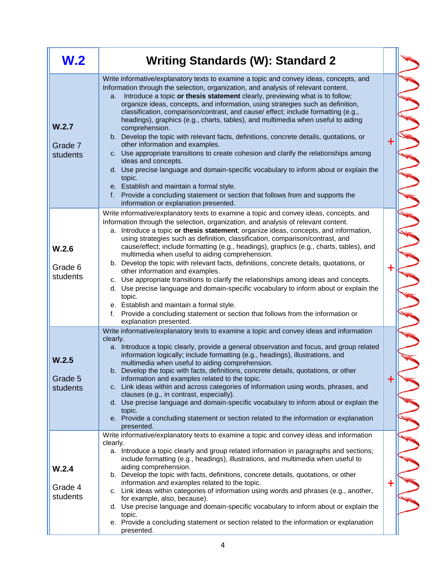| W.2                          | <b>Writing Standards (W): Standard 2</b>                                                                                                                                                                                                                                                                                                                                                                                                                                                                                                                                                                                                                                                                                                                                                                                                                                                                                                                                                                                                                                      |             |  |
|------------------------------|-------------------------------------------------------------------------------------------------------------------------------------------------------------------------------------------------------------------------------------------------------------------------------------------------------------------------------------------------------------------------------------------------------------------------------------------------------------------------------------------------------------------------------------------------------------------------------------------------------------------------------------------------------------------------------------------------------------------------------------------------------------------------------------------------------------------------------------------------------------------------------------------------------------------------------------------------------------------------------------------------------------------------------------------------------------------------------|-------------|--|
| W.2.7<br>Grade 7<br>students | Write informative/explanatory texts to examine a topic and convey ideas, concepts, and<br>Information through the selection, organization, and analysis of relevant content.<br>Introduce a topic or thesis statement clearly, previewing what is to follow;<br>a.<br>organize ideas, concepts, and information, using strategies such as definition,<br>classification, comparison/contrast, and cause/ effect; include formatting (e.g.,<br>headings), graphics (e.g., charts, tables), and multimedia when useful to aiding<br>comprehension.<br>b. Develop the topic with relevant facts, definitions, concrete details, quotations, or<br>other information and examples.<br>c. Use appropriate transitions to create cohesion and clarify the relationships among<br>ideas and concepts.<br>d. Use precise language and domain-specific vocabulary to inform about or explain the<br>topic.<br>e. Establish and maintain a formal style.<br>Provide a concluding statement or section that follows from and supports the<br>f.<br>information or explanation presented. | $\mathbf +$ |  |
| W.2.6<br>Grade 6<br>students | Write informative/explanatory texts to examine a topic and convey ideas, concepts, and<br>Information through the selection, organization, and analysis of relevant content.<br>Introduce a topic or thesis statement; organize ideas, concepts, and information,<br>a.<br>using strategies such as definition, classification, comparison/contrast, and<br>cause/effect; include formatting (e.g., headings), graphics (e.g., charts, tables), and<br>multimedia when useful to aiding comprehension.<br>b. Develop the topic with relevant facts, definitions, concrete details, quotations, or<br>other information and examples.<br>c. Use appropriate transitions to clarify the relationships among ideas and concepts.<br>d. Use precise language and domain-specific vocabulary to inform about or explain the<br>topic.<br>e. Establish and maintain a formal style.<br>Provide a concluding statement or section that follows from the information or<br>f.<br>explanation presented.                                                                               | ┿           |  |
| W.2.5<br>Grade 5<br>students | Write informative/explanatory texts to examine a topic and convey ideas and information<br>clearly.<br>a. Introduce a topic clearly, provide a general observation and focus, and group related<br>information logically; include formatting (e.g., headings), illustrations, and<br>multimedia when useful to aiding comprehension.<br>b. Develop the topic with facts, definitions, concrete details, quotations, or other<br>information and examples related to the topic.<br>c. Link ideas within and across categories of information using words, phrases, and<br>clauses (e.g., in contrast, especially).<br>d. Use precise language and domain-specific vocabulary to inform about or explain the<br>topic.<br>e. Provide a concluding statement or section related to the information or explanation<br>presented.                                                                                                                                                                                                                                                  | $\bm{+}$    |  |
| W.2.4<br>Grade 4<br>students | Write informative/explanatory texts to examine a topic and convey ideas and information<br>clearly.<br>a. Introduce a topic clearly and group related information in paragraphs and sections;<br>include formatting (e.g., headings), illustrations, and multimedia when useful to<br>aiding comprehension.<br>b. Develop the topic with facts, definitions, concrete details, quotations, or other<br>information and examples related to the topic.<br>c. Link ideas within categories of information using words and phrases (e.g., another,<br>for example, also, because).<br>d. Use precise language and domain-specific vocabulary to inform about or explain the<br>topic.<br>e. Provide a concluding statement or section related to the information or explanation<br>presented.                                                                                                                                                                                                                                                                                    | $\mathbf +$ |  |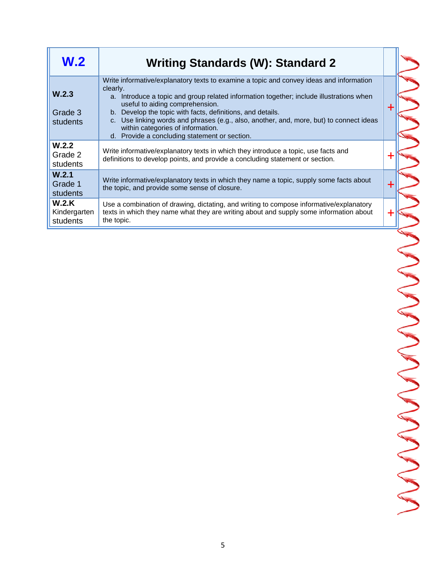| W <sub>2</sub>                    | <b>Writing Standards (W): Standard 2</b>                                                                                                                                                                                                                                                                                                                                                                                                                                         |  |
|-----------------------------------|----------------------------------------------------------------------------------------------------------------------------------------------------------------------------------------------------------------------------------------------------------------------------------------------------------------------------------------------------------------------------------------------------------------------------------------------------------------------------------|--|
| W.2.3<br>Grade 3<br>students      | Write informative/explanatory texts to examine a topic and convey ideas and information<br>clearly.<br>a. Introduce a topic and group related information together; include illustrations when<br>useful to aiding comprehension.<br>b. Develop the topic with facts, definitions, and details.<br>c. Use linking words and phrases (e.g., also, another, and, more, but) to connect ideas<br>within categories of information.<br>d. Provide a concluding statement or section. |  |
| W.2.2<br>Grade 2<br>students      | Write informative/explanatory texts in which they introduce a topic, use facts and<br>definitions to develop points, and provide a concluding statement or section.                                                                                                                                                                                                                                                                                                              |  |
| W.2.1<br>Grade 1<br>students      | Write informative/explanatory texts in which they name a topic, supply some facts about<br>the topic, and provide some sense of closure.                                                                                                                                                                                                                                                                                                                                         |  |
| W.2.K<br>Kindergarten<br>students | Use a combination of drawing, dictating, and writing to compose informative/explanatory<br>texts in which they name what they are writing about and supply some information about<br>the topic.                                                                                                                                                                                                                                                                                  |  |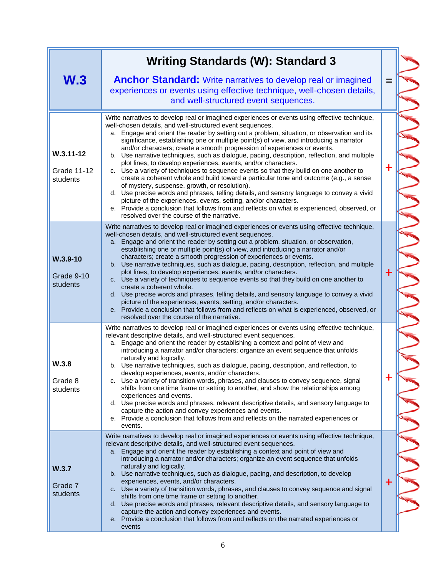|                                          | <b>Writing Standards (W): Standard 3</b>                                                                                                                                                                                                                                                                                                                                                                                                                                                                                                                                                                                                                                                                                                                                                                                                                                                                                                                                                                                                                                                                                                            |             |
|------------------------------------------|-----------------------------------------------------------------------------------------------------------------------------------------------------------------------------------------------------------------------------------------------------------------------------------------------------------------------------------------------------------------------------------------------------------------------------------------------------------------------------------------------------------------------------------------------------------------------------------------------------------------------------------------------------------------------------------------------------------------------------------------------------------------------------------------------------------------------------------------------------------------------------------------------------------------------------------------------------------------------------------------------------------------------------------------------------------------------------------------------------------------------------------------------------|-------------|
| W <sub>.3</sub>                          | <b>Anchor Standard:</b> Write narratives to develop real or imagined<br>experiences or events using effective technique, well-chosen details,<br>and well-structured event sequences.                                                                                                                                                                                                                                                                                                                                                                                                                                                                                                                                                                                                                                                                                                                                                                                                                                                                                                                                                               |             |
| $W.3.11 - 12$<br>Grade 11-12<br>students | Write narratives to develop real or imagined experiences or events using effective technique,<br>well-chosen details, and well-structured event sequences.<br>a. Engage and orient the reader by setting out a problem, situation, or observation and its<br>significance, establishing one or multiple point(s) of view, and introducing a narrator<br>and/or characters; create a smooth progression of experiences or events.<br>b. Use narrative techniques, such as dialogue, pacing, description, reflection, and multiple<br>plot lines, to develop experiences, events, and/or characters.<br>c. Use a variety of techniques to sequence events so that they build on one another to<br>create a coherent whole and build toward a particular tone and outcome (e.g., a sense<br>of mystery, suspense, growth, or resolution).<br>d. Use precise words and phrases, telling details, and sensory language to convey a vivid<br>picture of the experiences, events, setting, and/or characters.<br>e. Provide a conclusion that follows from and reflects on what is experienced, observed, or<br>resolved over the course of the narrative. | $\ddot{}$   |
| $W.3.9-10$<br>Grade 9-10<br>students     | Write narratives to develop real or imagined experiences or events using effective technique,<br>well-chosen details, and well-structured event sequences.<br>Engage and orient the reader by setting out a problem, situation, or observation,<br>a.<br>establishing one or multiple point(s) of view, and introducing a narrator and/or<br>characters; create a smooth progression of experiences or events.<br>b. Use narrative techniques, such as dialogue, pacing, description, reflection, and multiple<br>plot lines, to develop experiences, events, and/or characters.<br>c. Use a variety of techniques to sequence events so that they build on one another to<br>create a coherent whole.<br>d. Use precise words and phrases, telling details, and sensory language to convey a vivid<br>picture of the experiences, events, setting, and/or characters.<br>e. Provide a conclusion that follows from and reflects on what is experienced, observed, or<br>resolved over the course of the narrative.                                                                                                                                 | $+$         |
| W.3.8<br>Grade 8<br>students             | Write narratives to develop real or imagined experiences or events using effective technique,<br>relevant descriptive details, and well-structured event sequences.<br>a. Engage and orient the reader by establishing a context and point of view and<br>introducing a narrator and/or characters; organize an event sequence that unfolds<br>naturally and logically.<br>b. Use narrative techniques, such as dialogue, pacing, description, and reflection, to<br>develop experiences, events, and/or characters.<br>c. Use a variety of transition words, phrases, and clauses to convey sequence, signal<br>shifts from one time frame or setting to another, and show the relationships among<br>experiences and events.<br>d. Use precise words and phrases, relevant descriptive details, and sensory language to<br>capture the action and convey experiences and events.<br>e. Provide a conclusion that follows from and reflects on the narrated experiences or<br>events.                                                                                                                                                              | $\mathbf +$ |
| W.3.7<br>Grade 7<br>students             | Write narratives to develop real or imagined experiences or events using effective technique,<br>relevant descriptive details, and well-structured event sequences.<br>a. Engage and orient the reader by establishing a context and point of view and<br>introducing a narrator and/or characters; organize an event sequence that unfolds<br>naturally and logically.<br>b. Use narrative techniques, such as dialogue, pacing, and description, to develop<br>experiences, events, and/or characters.<br>c. Use a variety of transition words, phrases, and clauses to convey sequence and signal<br>shifts from one time frame or setting to another.<br>d. Use precise words and phrases, relevant descriptive details, and sensory language to<br>capture the action and convey experiences and events.<br>e. Provide a conclusion that follows from and reflects on the narrated experiences or<br>events                                                                                                                                                                                                                                    | $\mathbf +$ |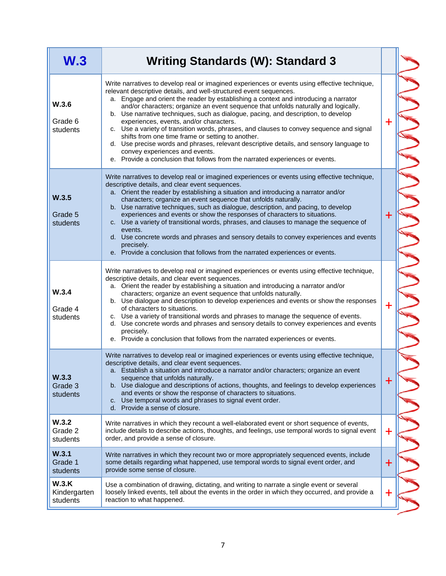| W.3                               | <b>Writing Standards (W): Standard 3</b>                                                                                                                                                                                                                                                                                                                                                                                                                                                                                                                                                                                                                                                                                                                                                                                                              |             |
|-----------------------------------|-------------------------------------------------------------------------------------------------------------------------------------------------------------------------------------------------------------------------------------------------------------------------------------------------------------------------------------------------------------------------------------------------------------------------------------------------------------------------------------------------------------------------------------------------------------------------------------------------------------------------------------------------------------------------------------------------------------------------------------------------------------------------------------------------------------------------------------------------------|-------------|
| W.3.6<br>Grade 6<br>students      | Write narratives to develop real or imagined experiences or events using effective technique,<br>relevant descriptive details, and well-structured event sequences.<br>Engage and orient the reader by establishing a context and introducing a narrator<br>a.<br>and/or characters; organize an event sequence that unfolds naturally and logically.<br>b. Use narrative techniques, such as dialogue, pacing, and description, to develop<br>experiences, events, and/or characters.<br>c. Use a variety of transition words, phrases, and clauses to convey sequence and signal<br>shifts from one time frame or setting to another.<br>d. Use precise words and phrases, relevant descriptive details, and sensory language to<br>convey experiences and events.<br>e. Provide a conclusion that follows from the narrated experiences or events. | $\ddagger$  |
| W.3.5<br>Grade 5<br>students      | Write narratives to develop real or imagined experiences or events using effective technique,<br>descriptive details, and clear event sequences.<br>a. Orient the reader by establishing a situation and introducing a narrator and/or<br>characters; organize an event sequence that unfolds naturally.<br>b. Use narrative techniques, such as dialogue, description, and pacing, to develop<br>experiences and events or show the responses of characters to situations.<br>c. Use a variety of transitional words, phrases, and clauses to manage the sequence of<br>events.<br>d. Use concrete words and phrases and sensory details to convey experiences and events<br>precisely.<br>e. Provide a conclusion that follows from the narrated experiences or events.                                                                             | $\ddag$     |
| W.3.4<br>Grade 4<br>students      | Write narratives to develop real or imagined experiences or events using effective technique,<br>descriptive details, and clear event sequences.<br>a. Orient the reader by establishing a situation and introducing a narrator and/or<br>characters; organize an event sequence that unfolds naturally.<br>b. Use dialogue and description to develop experiences and events or show the responses<br>of characters to situations.<br>c. Use a variety of transitional words and phrases to manage the sequence of events.<br>d. Use concrete words and phrases and sensory details to convey experiences and events<br>precisely.<br>e. Provide a conclusion that follows from the narrated experiences or events.                                                                                                                                  | $\ddot{}$   |
| W.3.3<br>Grade 3<br>students      | Write narratives to develop real or imagined experiences or events using effective technique,<br>descriptive details, and clear event sequences.<br>a. Establish a situation and introduce a narrator and/or characters; organize an event<br>sequence that unfolds naturally.<br>b. Use dialogue and descriptions of actions, thoughts, and feelings to develop experiences<br>and events or show the response of characters to situations.<br>Use temporal words and phrases to signal event order.<br>C.<br>d. Provide a sense of closure.                                                                                                                                                                                                                                                                                                         | $\bm{+}$    |
| W.3.2<br>Grade 2<br>students      | Write narratives in which they recount a well-elaborated event or short sequence of events,<br>include details to describe actions, thoughts, and feelings, use temporal words to signal event<br>order, and provide a sense of closure.                                                                                                                                                                                                                                                                                                                                                                                                                                                                                                                                                                                                              | $\mathbf +$ |
| W.3.1<br>Grade 1<br>students      | Write narratives in which they recount two or more appropriately sequenced events, include<br>some details regarding what happened, use temporal words to signal event order, and<br>provide some sense of closure.                                                                                                                                                                                                                                                                                                                                                                                                                                                                                                                                                                                                                                   | $\ddag$     |
| W.3.K<br>Kindergarten<br>students | Use a combination of drawing, dictating, and writing to narrate a single event or several<br>loosely linked events, tell about the events in the order in which they occurred, and provide a<br>reaction to what happened.                                                                                                                                                                                                                                                                                                                                                                                                                                                                                                                                                                                                                            | $\mathbf +$ |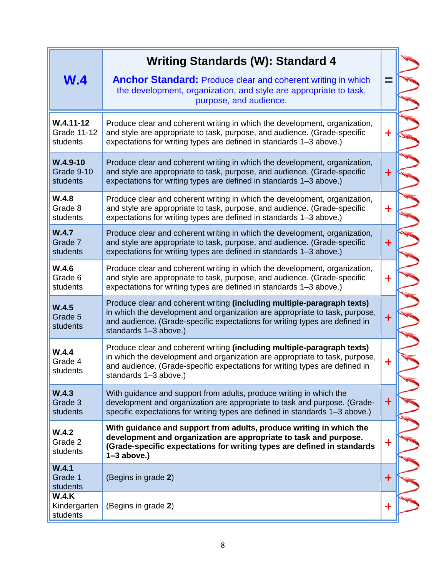|                                                 | <b>Writing Standards (W): Standard 4</b>                                                                                                                                                                                                                       |             |
|-------------------------------------------------|----------------------------------------------------------------------------------------------------------------------------------------------------------------------------------------------------------------------------------------------------------------|-------------|
| W.4                                             | <b>Anchor Standard: Produce clear and coherent writing in which</b><br>the development, organization, and style are appropriate to task,<br>purpose, and audience.                                                                                             | ═           |
| $W.4.11 - 12$<br><b>Grade 11-12</b><br>students | Produce clear and coherent writing in which the development, organization,<br>and style are appropriate to task, purpose, and audience. (Grade-specific<br>expectations for writing types are defined in standards 1-3 above.)                                 | $\div$      |
| $W.4.9-10$<br>Grade 9-10<br>students            | Produce clear and coherent writing in which the development, organization,<br>and style are appropriate to task, purpose, and audience. (Grade-specific<br>expectations for writing types are defined in standards 1-3 above.)                                 | $\mathbf +$ |
| W.4.8<br>Grade 8<br>students                    | Produce clear and coherent writing in which the development, organization,<br>and style are appropriate to task, purpose, and audience. (Grade-specific<br>expectations for writing types are defined in standards 1-3 above.)                                 | $\ddot{}$   |
| W.4.7<br>Grade 7<br>students                    | Produce clear and coherent writing in which the development, organization,<br>and style are appropriate to task, purpose, and audience. (Grade-specific<br>expectations for writing types are defined in standards 1-3 above.)                                 | $+$         |
| W.4.6<br>Grade 6<br>students                    | Produce clear and coherent writing in which the development, organization,<br>and style are appropriate to task, purpose, and audience. (Grade-specific<br>expectations for writing types are defined in standards 1-3 above.)                                 | $\ddot{}$   |
| W.4.5<br>Grade 5<br>students                    | Produce clear and coherent writing (including multiple-paragraph texts)<br>in which the development and organization are appropriate to task, purpose,<br>and audience. (Grade-specific expectations for writing types are defined in<br>standards 1-3 above.) | $\ddag$     |
| W.4.4<br>Grade 4<br>students                    | Produce clear and coherent writing (including multiple-paragraph texts)<br>in which the development and organization are appropriate to task, purpose,<br>and audience. (Grade-specific expectations for writing types are defined in<br>standards 1-3 above.) | $\ddag$     |
| W.4.3<br>Grade 3<br>students                    | With guidance and support from adults, produce writing in which the<br>development and organization are appropriate to task and purpose. (Grade-<br>specific expectations for writing types are defined in standards 1-3 above.)                               | $\ddag$     |
| W.4.2<br>Grade 2<br>students                    | With guidance and support from adults, produce writing in which the<br>development and organization are appropriate to task and purpose.<br>(Grade-specific expectations for writing types are defined in standards<br>$1-3$ above.)                           | $\ddag$     |
| W.4.1<br>Grade 1<br>students                    | (Begins in grade 2)                                                                                                                                                                                                                                            | $\ddot{}$   |
| W.4.K<br>Kindergarten<br>students               | (Begins in grade 2)                                                                                                                                                                                                                                            | ╋           |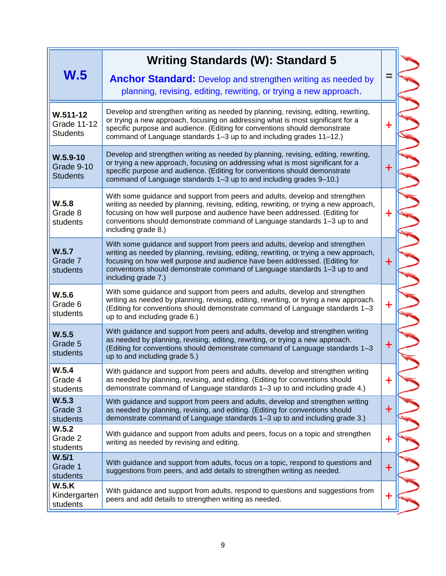|                                                       | <b>Writing Standards (W): Standard 5</b>                                                                                                                                                                                                                                                                                                                   |             |
|-------------------------------------------------------|------------------------------------------------------------------------------------------------------------------------------------------------------------------------------------------------------------------------------------------------------------------------------------------------------------------------------------------------------------|-------------|
| W.5                                                   | <b>Anchor Standard:</b> Develop and strengthen writing as needed by<br>planning, revising, editing, rewriting, or trying a new approach.                                                                                                                                                                                                                   | ⋍           |
| $W.511 - 12$<br><b>Grade 11-12</b><br><b>Students</b> | Develop and strengthen writing as needed by planning, revising, editing, rewriting,<br>or trying a new approach, focusing on addressing what is most significant for a<br>specific purpose and audience. (Editing for conventions should demonstrate<br>command of Language standards 1-3 up to and including grades 11-12.)                               | $\ddag$     |
| $W.5.9-10$<br>Grade 9-10<br><b>Students</b>           | Develop and strengthen writing as needed by planning, revising, editing, rewriting,<br>or trying a new approach, focusing on addressing what is most significant for a<br>specific purpose and audience. (Editing for conventions should demonstrate<br>command of Language standards 1-3 up to and including grades 9-10.)                                | $\pm$       |
| W.5.8<br>Grade 8<br>students                          | With some guidance and support from peers and adults, develop and strengthen<br>writing as needed by planning, revising, editing, rewriting, or trying a new approach,<br>focusing on how well purpose and audience have been addressed. (Editing for<br>conventions should demonstrate command of Language standards 1-3 up to and<br>including grade 8.) | $\mathbf +$ |
| W.5.7<br>Grade 7<br>students                          | With some guidance and support from peers and adults, develop and strengthen<br>writing as needed by planning, revising, editing, rewriting, or trying a new approach,<br>focusing on how well purpose and audience have been addressed. (Editing for<br>conventions should demonstrate command of Language standards 1-3 up to and<br>including grade 7.) | $\ddot{}$   |
| W.5.6<br>Grade 6<br>students                          | With some guidance and support from peers and adults, develop and strengthen<br>writing as needed by planning, revising, editing, rewriting, or trying a new approach.<br>(Editing for conventions should demonstrate command of Language standards 1-3<br>up to and including grade 6.)                                                                   | ╋           |
| W.5.5<br>Grade 5<br>students                          | With guidance and support from peers and adults, develop and strengthen writing<br>as needed by planning, revising, editing, rewriting, or trying a new approach.<br>(Editing for conventions should demonstrate command of Language standards 1-3<br>up to and including grade 5.)                                                                        | $\ddag$     |
| W.5.4<br>Grade 4<br>students                          | With guidance and support from peers and adults, develop and strengthen writing<br>as needed by planning, revising, and editing. (Editing for conventions should<br>demonstrate command of Language standards 1-3 up to and including grade 4.)                                                                                                            | $\mathbf +$ |
| W.5.3<br>Grade 3<br>students                          | With guidance and support from peers and adults, develop and strengthen writing<br>as needed by planning, revising, and editing. (Editing for conventions should<br>demonstrate command of Language standards 1-3 up to and including grade 3.)                                                                                                            | $\ddag$     |
| W.5.2<br>Grade 2<br>students                          | With guidance and support from adults and peers, focus on a topic and strengthen<br>writing as needed by revising and editing.                                                                                                                                                                                                                             | $\ddag$     |
| W.5/1<br>Grade 1<br>students                          | With guidance and support from adults, focus on a topic, respond to questions and<br>suggestions from peers, and add details to strengthen writing as needed.                                                                                                                                                                                              | $\ddot{}$   |
| W.5.K<br>Kindergarten<br>students                     | With guidance and support from adults, respond to questions and suggestions from<br>peers and add details to strengthen writing as needed.                                                                                                                                                                                                                 | $\mathbf +$ |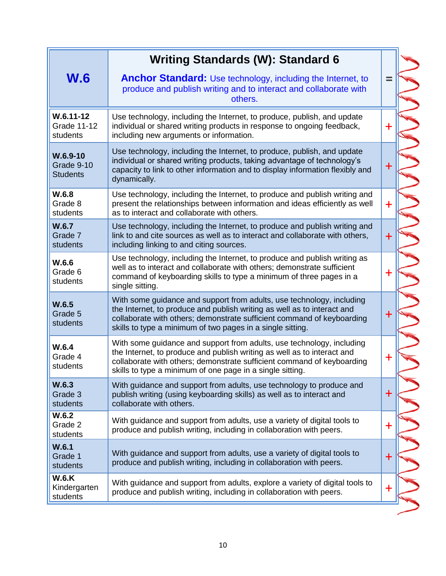|                                                 | <b>Writing Standards (W): Standard 6</b>                                                                                                                                                                                                                                                 |           |
|-------------------------------------------------|------------------------------------------------------------------------------------------------------------------------------------------------------------------------------------------------------------------------------------------------------------------------------------------|-----------|
| <b>W.6</b>                                      | <b>Anchor Standard:</b> Use technology, including the Internet, to<br>produce and publish writing and to interact and collaborate with<br>others.                                                                                                                                        | $\equiv$  |
| $W.6.11 - 12$<br><b>Grade 11-12</b><br>students | Use technology, including the Internet, to produce, publish, and update<br>individual or shared writing products in response to ongoing feedback,<br>including new arguments or information.                                                                                             | $\ddag$   |
| $W.6.9-10$<br>Grade 9-10<br><b>Students</b>     | Use technology, including the Internet, to produce, publish, and update<br>individual or shared writing products, taking advantage of technology's<br>capacity to link to other information and to display information flexibly and<br>dynamically.                                      | $+$       |
| W.6.8<br>Grade 8<br>students                    | Use technology, including the Internet, to produce and publish writing and<br>present the relationships between information and ideas efficiently as well<br>as to interact and collaborate with others.                                                                                 | $\ddot{}$ |
| W.6.7<br>Grade 7<br>students                    | Use technology, including the Internet, to produce and publish writing and<br>link to and cite sources as well as to interact and collaborate with others,<br>including linking to and citing sources.                                                                                   | $\ddag$   |
| W.6.6<br>Grade 6<br>students                    | Use technology, including the Internet, to produce and publish writing as<br>well as to interact and collaborate with others; demonstrate sufficient<br>command of keyboarding skills to type a minimum of three pages in a<br>single sitting.                                           | ╋         |
| W.6.5<br>Grade 5<br>students                    | With some guidance and support from adults, use technology, including<br>the Internet, to produce and publish writing as well as to interact and<br>collaborate with others; demonstrate sufficient command of keyboarding<br>skills to type a minimum of two pages in a single sitting. | $\ddag$   |
| W.6.4<br>Grade 4<br>students                    | With some guidance and support from adults, use technology, including<br>the Internet, to produce and publish writing as well as to interact and<br>collaborate with others; demonstrate sufficient command of keyboarding<br>skills to type a minimum of one page in a single sitting   | ╉         |
| W.6.3<br>Grade 3<br>students                    | With guidance and support from adults, use technology to produce and<br>publish writing (using keyboarding skills) as well as to interact and<br>collaborate with others.                                                                                                                | $+$       |
| W.6.2<br>Grade 2<br>students                    | With guidance and support from adults, use a variety of digital tools to<br>produce and publish writing, including in collaboration with peers.                                                                                                                                          | $\ddag$   |
| W.6.1<br>Grade 1<br>students                    | With guidance and support from adults, use a variety of digital tools to<br>produce and publish writing, including in collaboration with peers.                                                                                                                                          | $\ddot{}$ |
| <b>W.6.K</b><br>Kindergarten<br>students        | With guidance and support from adults, explore a variety of digital tools to<br>produce and publish writing, including in collaboration with peers.                                                                                                                                      | ╋         |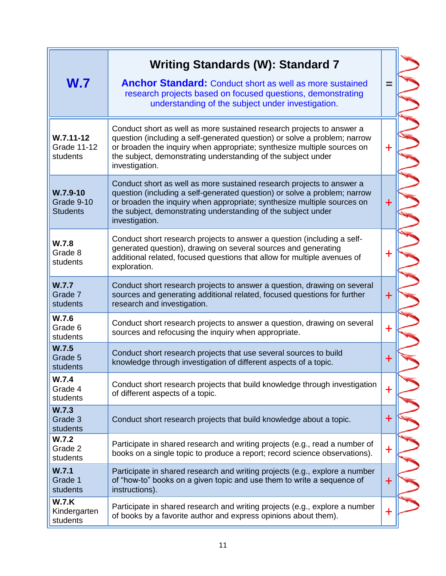| W.7                                             | <b>Writing Standards (W): Standard 7</b><br><b>Anchor Standard:</b> Conduct short as well as more sustained<br>research projects based on focused questions, demonstrating<br>understanding of the subject under investigation.                                                                                  | $=$       |
|-------------------------------------------------|------------------------------------------------------------------------------------------------------------------------------------------------------------------------------------------------------------------------------------------------------------------------------------------------------------------|-----------|
| $W.7.11 - 12$<br><b>Grade 11-12</b><br>students | Conduct short as well as more sustained research projects to answer a<br>question (including a self-generated question) or solve a problem; narrow<br>or broaden the inquiry when appropriate; synthesize multiple sources on<br>the subject, demonstrating understanding of the subject under<br>investigation. | $\pm$     |
| $W.7.9-10$<br>Grade 9-10<br><b>Students</b>     | Conduct short as well as more sustained research projects to answer a<br>question (including a self-generated question) or solve a problem; narrow<br>or broaden the inquiry when appropriate; synthesize multiple sources on<br>the subject, demonstrating understanding of the subject under<br>investigation. | $\ddot{}$ |
| W.7.8<br>Grade 8<br>students                    | Conduct short research projects to answer a question (including a self-<br>generated question), drawing on several sources and generating<br>additional related, focused questions that allow for multiple avenues of<br>exploration.                                                                            | ┿         |
| W.7.7<br>Grade 7<br>students                    | Conduct short research projects to answer a question, drawing on several<br>sources and generating additional related, focused questions for further<br>research and investigation.                                                                                                                              | $\ddag$   |
| W.7.6<br>Grade 6<br>students                    | Conduct short research projects to answer a question, drawing on several<br>sources and refocusing the inquiry when appropriate.                                                                                                                                                                                 | $\ddag$   |
| W.7.5<br>Grade 5<br>students                    | Conduct short research projects that use several sources to build<br>knowledge through investigation of different aspects of a topic.                                                                                                                                                                            | $\ddag$   |
| W.7.4<br>Grade 4<br>students                    | Conduct short research projects that build knowledge through investigation<br>of different aspects of a topic.                                                                                                                                                                                                   | $\ddag$   |
| W.7.3<br>Grade 3<br>students                    | Conduct short research projects that build knowledge about a topic.                                                                                                                                                                                                                                              | $\bm{+}$  |
| W.7.2<br>Grade 2<br>students                    | Participate in shared research and writing projects (e.g., read a number of<br>books on a single topic to produce a report; record science observations).                                                                                                                                                        | $\ddag$   |
| W.7.1<br>Grade 1<br>students                    | Participate in shared research and writing projects (e.g., explore a number<br>of "how-to" books on a given topic and use them to write a sequence of<br>instructions).                                                                                                                                          | $\ddag$   |
| <b>W.7.K</b><br>Kindergarten<br>students        | Participate in shared research and writing projects (e.g., explore a number<br>of books by a favorite author and express opinions about them).                                                                                                                                                                   | $\ddag$   |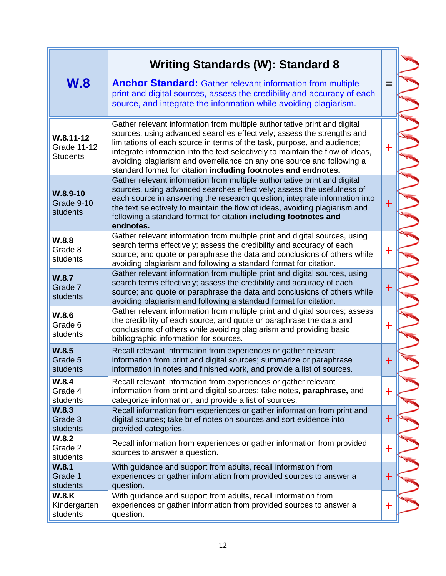| <b>W.8</b>                                             | <b>Writing Standards (W): Standard 8</b><br><b>Anchor Standard:</b> Gather relevant information from multiple<br>print and digital sources, assess the credibility and accuracy of each<br>source, and integrate the information while avoiding plagiarism.                                                                                                                                                                                                  | $=$       |
|--------------------------------------------------------|--------------------------------------------------------------------------------------------------------------------------------------------------------------------------------------------------------------------------------------------------------------------------------------------------------------------------------------------------------------------------------------------------------------------------------------------------------------|-----------|
| $W.8.11 - 12$<br><b>Grade 11-12</b><br><b>Students</b> | Gather relevant information from multiple authoritative print and digital<br>sources, using advanced searches effectively; assess the strengths and<br>limitations of each source in terms of the task, purpose, and audience;<br>integrate information into the text selectively to maintain the flow of ideas,<br>avoiding plagiarism and overreliance on any one source and following a<br>standard format for citation including footnotes and endnotes. | ╉         |
| $W.8.9-10$<br>Grade 9-10<br>students                   | Gather relevant information from multiple authoritative print and digital<br>sources, using advanced searches effectively; assess the usefulness of<br>each source in answering the research question; integrate information into<br>the text selectively to maintain the flow of ideas, avoiding plagiarism and<br>following a standard format for citation including footnotes and<br>endnotes.                                                            | +         |
| W.8.8<br>Grade 8<br>students                           | Gather relevant information from multiple print and digital sources, using<br>search terms effectively; assess the credibility and accuracy of each<br>source; and quote or paraphrase the data and conclusions of others while<br>avoiding plagiarism and following a standard format for citation.                                                                                                                                                         | $\ddag$   |
| W.8.7<br>Grade 7<br>students                           | Gather relevant information from multiple print and digital sources, using<br>search terms effectively; assess the credibility and accuracy of each<br>source; and quote or paraphrase the data and conclusions of others while<br>avoiding plagiarism and following a standard format for citation.                                                                                                                                                         | $\ddag$   |
| W.8.6<br>Grade 6<br>students                           | Gather relevant information from multiple print and digital sources; assess<br>the credibility of each source; and quote or paraphrase the data and<br>conclusions of others while avoiding plagiarism and providing basic<br>bibliographic information for sources.                                                                                                                                                                                         | $\ddot{}$ |
| W.8.5<br>Grade 5<br>students                           | Recall relevant information from experiences or gather relevant<br>information from print and digital sources; summarize or paraphrase<br>information in notes and finished work, and provide a list of sources.                                                                                                                                                                                                                                             | $\ddag$   |
| W.8.4<br>Grade 4<br>students                           | Recall relevant information from experiences or gather relevant<br>information from print and digital sources; take notes, paraphrase, and<br>categorize information, and provide a list of sources.                                                                                                                                                                                                                                                         | $\ddag$   |
| W.8.3<br>Grade 3<br>students                           | Recall information from experiences or gather information from print and<br>digital sources; take brief notes on sources and sort evidence into<br>provided categories.                                                                                                                                                                                                                                                                                      | $\pm$     |
| W.8.2<br>Grade 2<br>students                           | Recall information from experiences or gather information from provided<br>sources to answer a question.                                                                                                                                                                                                                                                                                                                                                     | $\ddag$   |
| W.8.1<br>Grade 1<br>students                           | With guidance and support from adults, recall information from<br>experiences or gather information from provided sources to answer a<br>question.                                                                                                                                                                                                                                                                                                           | $\ddag$   |
| <b>W.8.K</b><br>Kindergarten<br>students               | With guidance and support from adults, recall information from<br>experiences or gather information from provided sources to answer a<br>question.                                                                                                                                                                                                                                                                                                           | $\ddag$   |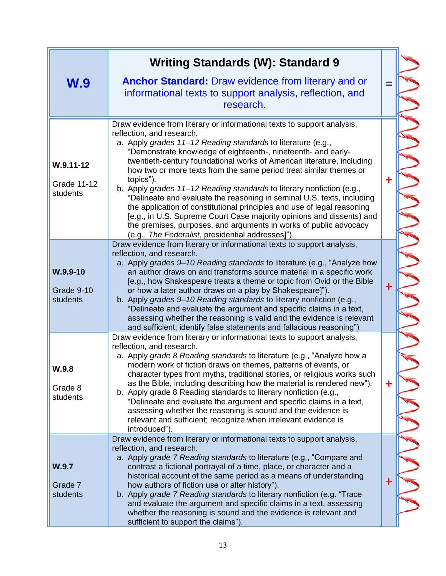|                                                 | <b>Writing Standards (W): Standard 9</b>                                                                                                                                                                                                                                                                                                                                                                                                                                                                                                                                                                                                                                                                                                                                                                                            |             |
|-------------------------------------------------|-------------------------------------------------------------------------------------------------------------------------------------------------------------------------------------------------------------------------------------------------------------------------------------------------------------------------------------------------------------------------------------------------------------------------------------------------------------------------------------------------------------------------------------------------------------------------------------------------------------------------------------------------------------------------------------------------------------------------------------------------------------------------------------------------------------------------------------|-------------|
| W.9                                             | <b>Anchor Standard:</b> Draw evidence from literary and or<br>informational texts to support analysis, reflection, and<br>research.                                                                                                                                                                                                                                                                                                                                                                                                                                                                                                                                                                                                                                                                                                 | $=$         |
| $W.9.11 - 12$<br><b>Grade 11-12</b><br>students | Draw evidence from literary or informational texts to support analysis,<br>reflection, and research.<br>a. Apply grades 11-12 Reading standards to literature (e.g.,<br>"Demonstrate knowledge of eighteenth-, nineteenth- and early-<br>twentieth-century foundational works of American literature, including<br>how two or more texts from the same period treat similar themes or<br>topics").<br>b. Apply grades 11–12 Reading standards to literary nonfiction (e.g.,<br>"Delineate and evaluate the reasoning in seminal U.S. texts, including<br>the application of constitutional principles and use of legal reasoning<br>[e.g., in U.S. Supreme Court Case majority opinions and dissents) and<br>the premises, purposes, and arguments in works of public advocacy<br>(e.g., The Federalist, presidential addresses]"). | $\ddag$     |
| $W.9.9 - 10$<br>Grade 9-10<br>students          | Draw evidence from literary or informational texts to support analysis,<br>reflection, and research.<br>a. Apply grades 9–10 Reading standards to literature (e.g., "Analyze how<br>an author draws on and transforms source material in a specific work<br>[e.g., how Shakespeare treats a theme or topic from Ovid or the Bible<br>or how a later author draws on a play by Shakespeare]").<br>b. Apply grades 9–10 Reading standards to literary nonfiction (e.g.,<br>"Delineate and evaluate the argument and specific claims in a text,<br>assessing whether the reasoning is valid and the evidence is relevant<br>and sufficient; identify false statements and fallacious reasoning")                                                                                                                                       | $\ddot{}$   |
| W.9.8<br>Grade 8<br>students                    | Draw evidence from literary or informational texts to support analysis,<br>reflection, and research.<br>a. Apply grade 8 Reading standards to literature (e.g., "Analyze how a<br>modern work of fiction draws on themes, patterns of events, or<br>character types from myths, traditional stories, or religious works such<br>as the Bible, including describing how the material is rendered new").<br>b. Apply grade 8 Reading standards to literary nonfiction (e.g.,<br>"Delineate and evaluate the argument and specific claims in a text,<br>assessing whether the reasoning is sound and the evidence is<br>relevant and sufficient; recognize when irrelevant evidence is<br>introduced").                                                                                                                                | $\mathbf +$ |
| W.9.7<br>Grade 7<br>students                    | Draw evidence from literary or informational texts to support analysis,<br>reflection, and research.<br>a. Apply grade 7 Reading standards to literature (e.g., "Compare and<br>contrast a fictional portrayal of a time, place, or character and a<br>historical account of the same period as a means of understanding<br>how authors of fiction use or alter history").<br>b. Apply grade 7 Reading standards to literary nonfiction (e.g. "Trace<br>and evaluate the argument and specific claims in a text, assessing<br>whether the reasoning is sound and the evidence is relevant and<br>sufficient to support the claims").                                                                                                                                                                                                | $\ddag$     |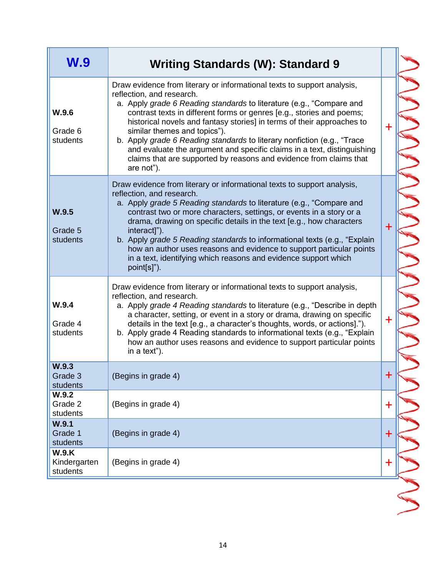| W.9                               | <b>Writing Standards (W): Standard 9</b>                                                                                                                                                                                                                                                                                                                                                                                                                                                                                                                                                                  |             |  |
|-----------------------------------|-----------------------------------------------------------------------------------------------------------------------------------------------------------------------------------------------------------------------------------------------------------------------------------------------------------------------------------------------------------------------------------------------------------------------------------------------------------------------------------------------------------------------------------------------------------------------------------------------------------|-------------|--|
| W.9.6<br>Grade 6<br>students      | Draw evidence from literary or informational texts to support analysis,<br>reflection, and research.<br>a. Apply grade 6 Reading standards to literature (e.g., "Compare and<br>contrast texts in different forms or genres [e.g., stories and poems;<br>historical novels and fantasy stories] in terms of their approaches to<br>similar themes and topics").<br>b. Apply grade 6 Reading standards to literary nonfiction (e.g., "Trace<br>and evaluate the argument and specific claims in a text, distinguishing<br>claims that are supported by reasons and evidence from claims that<br>are not"). | ÷           |  |
| W.9.5<br>Grade 5<br>students      | Draw evidence from literary or informational texts to support analysis,<br>reflection, and research.<br>a. Apply grade 5 Reading standards to literature (e.g., "Compare and<br>contrast two or more characters, settings, or events in a story or a<br>drama, drawing on specific details in the text [e.g., how characters<br>interact]").<br>b. Apply grade 5 Reading standards to informational texts (e.g., "Explain<br>how an author uses reasons and evidence to support particular points<br>in a text, identifying which reasons and evidence support which<br>point[s]").                       | $\ddot{}$   |  |
| W.9.4<br>Grade 4<br>students      | Draw evidence from literary or informational texts to support analysis,<br>reflection, and research.<br>a. Apply grade 4 Reading standards to literature (e.g., "Describe in depth<br>a character, setting, or event in a story or drama, drawing on specific<br>details in the text [e.g., a character's thoughts, words, or actions].").<br>b. Apply grade 4 Reading standards to informational texts (e.g., "Explain"<br>how an author uses reasons and evidence to support particular points<br>in a text").                                                                                          | $\mathbf +$ |  |
| W.9.3<br>Grade 3<br>students      | (Begins in grade 4)                                                                                                                                                                                                                                                                                                                                                                                                                                                                                                                                                                                       | ┿           |  |
| W.9.2<br>Grade 2<br>students      | (Begins in grade 4)                                                                                                                                                                                                                                                                                                                                                                                                                                                                                                                                                                                       | $\mathbf +$ |  |
| W.9.1<br>Grade 1<br>students      | (Begins in grade 4)                                                                                                                                                                                                                                                                                                                                                                                                                                                                                                                                                                                       | $\mathbf +$ |  |
| W.9.K<br>Kindergarten<br>students | (Begins in grade 4)                                                                                                                                                                                                                                                                                                                                                                                                                                                                                                                                                                                       | $\ddag$     |  |
|                                   |                                                                                                                                                                                                                                                                                                                                                                                                                                                                                                                                                                                                           |             |  |